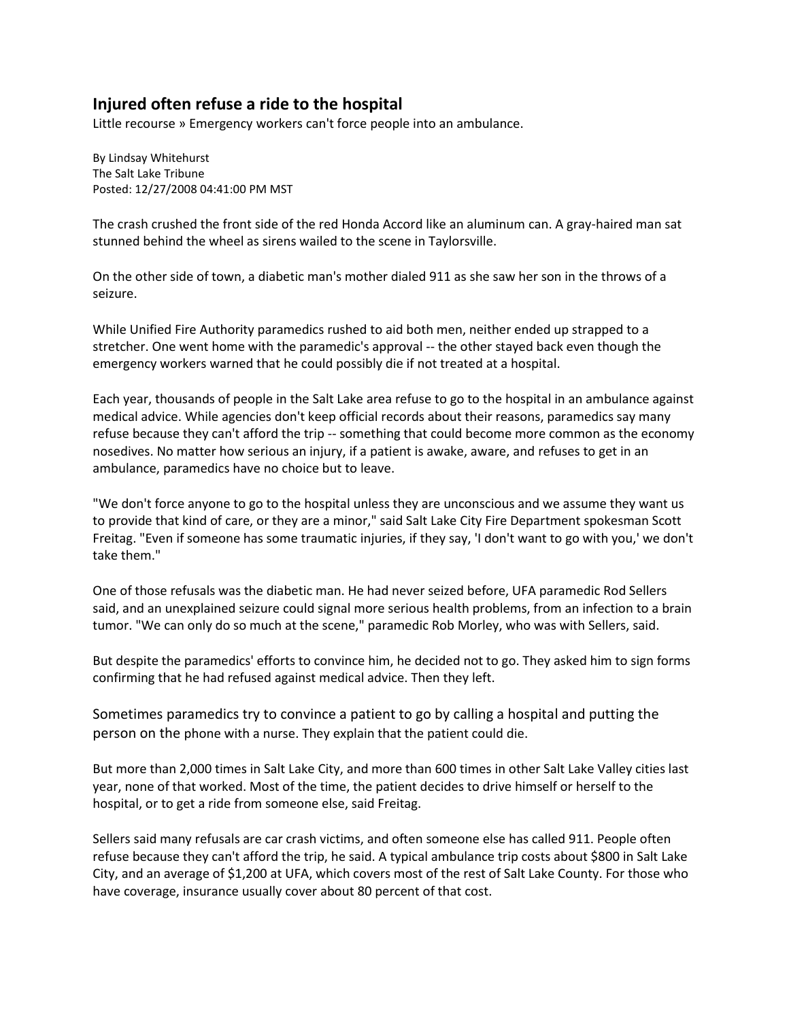## **Injured often refuse a ride to the hospital**

Little recourse » Emergency workers can't force people into an ambulance.

[By Lindsay Whitehurst](mailto:lwhitehurst@sltrib.com?subject=Salt%20Lake%20Tribune:%20Injured%20often%20refuse%20a%20ride%20to%20the%20hospital)  [The Salt Lake Tribune](mailto:lwhitehurst@sltrib.com?subject=Salt%20Lake%20Tribune:%20Injured%20often%20refuse%20a%20ride%20to%20the%20hospital) Posted: 12/27/2008 04:41:00 PM MST

The crash crushed the front side of the red Honda Accord like an aluminum can. A gray-haired man sat stunned behind the wheel as sirens wailed to the scene in Taylorsville.

On the other side of town, a diabetic man's mother dialed 911 as she saw her son in the throws of a seizure.

While Unified Fire Authority paramedics rushed to aid both men, neither ended up strapped to a stretcher. One went home with the paramedic's approval -- the other stayed back even though the emergency workers warned that he could possibly die if not treated at a hospital.

Each year, thousands of people in the Salt Lake area refuse to go to the hospital in an ambulance against medical advice. While agencies don't keep official records about their reasons, paramedics say many refuse because they can't afford the trip -- something that could become more common as the economy nosedives. No matter how serious an injury, if a patient is awake, aware, and refuses to get in an ambulance, paramedics have no choice but to leave.

"We don't force anyone to go to the hospital unless they are unconscious and we assume they want us to provide that kind of care, or they are a minor," said Salt Lake City Fire Department spokesman Scott Freitag. "Even if someone has some traumatic injuries, if they say, 'I don't want to go with you,' we don't take them."

One of those refusals was the diabetic man. He had never seized before, UFA paramedic Rod Sellers said, and an unexplained seizure could signal more serious health problems, from an infection to a brain tumor. "We can only do so much at the scene," paramedic Rob Morley, who was with Sellers, said.

But despite the paramedics' efforts to convince him, he decided not to go. They asked him to sign forms confirming that he had refused against medical advice. Then they left.

Sometimes paramedics try to convince a patient to go by calling a hospital and putting the person on the phone with a nurse. They explain that the patient could die.

But more than 2,000 times in Salt Lake City, and more than 600 times in other Salt Lake Valley cities last year, none of that worked. Most of the time, the patient decides to drive himself or herself to the hospital, or to get a ride from someone else, said Freitag.

Sellers said many refusals are car crash victims, and often someone else has called 911. People often refuse because they can't afford the trip, he said. A typical ambulance trip costs about \$800 in Salt Lake City, and an average of \$1,200 at UFA, which covers most of the rest of Salt Lake County. For those who have coverage, insurance usually cover about 80 percent of that cost.